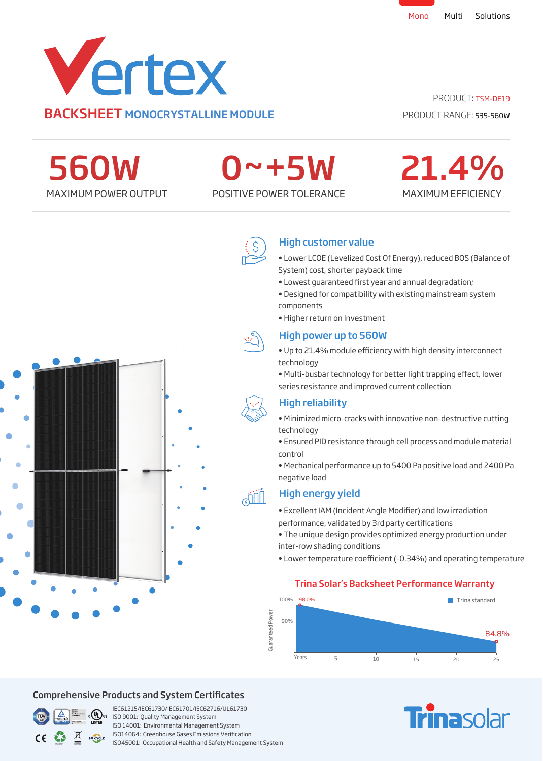

PRODUCT: TSM-DE19

PRODUCT RANGE: 535-560W

560W

# 0~+5W

MAXIMUM POWER OUTPUT POSITIVE POWER TOLERANCE





# High customer value

- Lower LCOE (Levelized Cost Of Energy), reduced BOS (Balance of System) cost, shorter payback time
- Lowest guaranteed first year and annual degradation;
- Designed for compatibility with existing mainstream system components
- Higher return on Investment

# High power up to 560W

- Up to 21.4% module efficiency with high density interconnect technology
- Multi-busbar technology for better light trapping effect, lower series resistance and improved current collection

# High reliability

- Minimized micro-cracks with innovative non-destructive cutting technology
- Ensured PID resistance through cell process and module material control
- Mechanical performance up to 5400 Pa positive load and 2400 Pa negative load

# High energy yield

- Excellent IAM (Incident Angle Modifier) and low irradiation performance, validated by 3rd party certifications
- The unique design provides optimized energy production under inter-row shading conditions
- Lower temperature coefficient (-0.34%) and operating temperature

### Trina Solar's Backsheet Performance Warranty



## Comprehensive Products and System Certificates



IEC61215/IEC61730/IEC61701/IEC62716/UL61730 **If**  $\frac{1}{150}$  **Southernal**: Quality Management System ISO 14001: Environmental Management System ISO14064: Greenhouse Gases Emissions Verication ISO45001: Occupational Health and Safety Management System

# **Trinasolar**